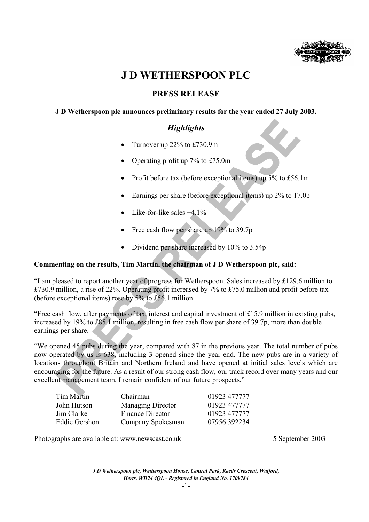

# **J D WETHERSPOON PLC**

## **PRESS RELEASE**

## **J D Wetherspoon plc announces preliminary results for the year ended 27 July 2003.**

## *Highlights*

- Turnover up 22% to £730.9m
- Operating profit up  $7\%$  to £75.0m
- Profit before tax (before exceptional items) up 5% to £56.1m
- Earnings per share (before exceptional items) up 2\% to 17.0p
- Like-for-like sales  $+4.1\%$
- Free cash flow per share up 19% to 39.7p
- Dividend per share increased by 10% to 3.54p

### **Commenting on the results, Tim Martin, the chairman of J D Wetherspoon plc, said:**

"I am pleased to report another year of progress for Wetherspoon. Sales increased by £129.6 million to £730.9 million, a rise of 22%. Operating profit increased by 7% to £75.0 million and profit before tax (before exceptional items) rose by 5% to £56.1 million.

"Free cash flow, after payments of tax, interest and capital investment of £15.9 million in existing pubs, increased by 19% to £85.1 million, resulting in free cash flow per share of 39.7p, more than double earnings per share.

"We opened 45 pubs during the year, compared with 87 in the previous year. The total number of pubs now operated by us is 638, including 3 opened since the year end. The new pubs are in a variety of locations throughout Britain and Northern Ireland and have opened at initial sales levels which are encouraging for the future. As a result of our strong cash flow, our track record over many years and our excellent management team, I remain confident of our future prospects."

| Tim Martin    | Chairman                 | 01923 477777 |
|---------------|--------------------------|--------------|
| John Hutson   | <b>Managing Director</b> | 01923 477777 |
| Jim Clarke    | Finance Director         | 01923 477777 |
| Eddie Gershon | Company Spokesman        | 07956 392234 |

Photographs are available at: www.newscast.co.uk 5 September 2003

*J D Wetherspoon plc, Wetherspoon House, Central Park, Reeds Crescent, Watford, Herts, WD24 4QL - Registered in England No. 1709784*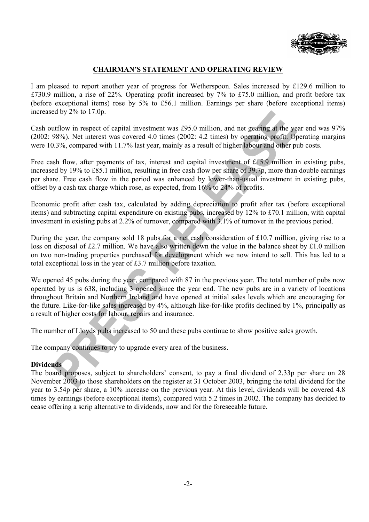

## **CHAIRMAN'S STATEMENT AND OPERATING REVIEW**

I am pleased to report another year of progress for Wetherspoon. Sales increased by £129.6 million to £730.9 million, a rise of 22%. Operating profit increased by 7% to £75.0 million, and profit before tax (before exceptional items) rose by 5% to £56.1 million. Earnings per share (before exceptional items) increased by 2% to 17.0p.

Cash outflow in respect of capital investment was £95.0 million, and net gearing at the year end was 97% (2002: 98%). Net interest was covered 4.0 times (2002: 4.2 times) by operating profit. Operating margins were 10.3%, compared with 11.7% last year, mainly as a result of higher labour and other pub costs.

Free cash flow, after payments of tax, interest and capital investment of £15.9 million in existing pubs, increased by 19% to £85.1 million, resulting in free cash flow per share of 39.7p, more than double earnings per share. Free cash flow in the period was enhanced by lower-than-usual investment in existing pubs, offset by a cash tax charge which rose, as expected, from 16% to 24% of profits.

Economic profit after cash tax, calculated by adding depreciation to profit after tax (before exceptional items) and subtracting capital expenditure on existing pubs, increased by 12% to £70.1 million, with capital investment in existing pubs at 2.2% of turnover, compared with 3.1% of turnover in the previous period.

During the year, the company sold 18 pubs for a net cash consideration of £10.7 million, giving rise to a loss on disposal of £2.7 million. We have also written down the value in the balance sheet by £1.0 million on two non-trading properties purchased for development which we now intend to sell. This has led to a total exceptional loss in the year of £3.7 million before taxation.

We opened 45 pubs during the year, compared with 87 in the previous year. The total number of pubs now operated by us is 638, including 3 opened since the year end. The new pubs are in a variety of locations throughout Britain and Northern Ireland and have opened at initial sales levels which are encouraging for the future. Like-for-like sales increased by 4%, although like-for-like profits declined by 1%, principally as a result of higher costs for labour, repairs and insurance.

The number of Lloyds pubs increased to 50 and these pubs continue to show positive sales growth.

The company continues to try to upgrade every area of the business.

### **Dividends**

The board proposes, subject to shareholders' consent, to pay a final dividend of 2.33p per share on 28 November 2003 to those shareholders on the register at 31 October 2003, bringing the total dividend for the year to 3.54p per share, a 10% increase on the previous year. At this level, dividends will be covered 4.8 times by earnings (before exceptional items), compared with 5.2 times in 2002. The company has decided to cease offering a scrip alternative to dividends, now and for the foreseeable future.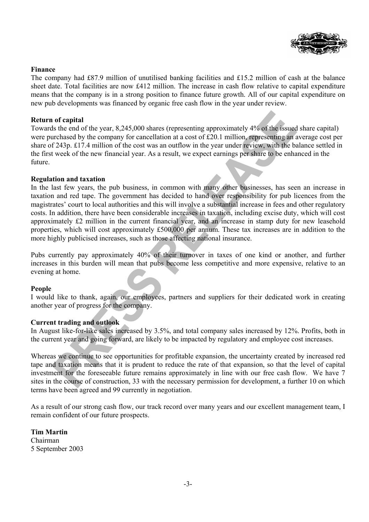

### **Finance**

The company had £87.9 million of unutilised banking facilities and £15.2 million of cash at the balance sheet date. Total facilities are now £412 million. The increase in cash flow relative to capital expenditure means that the company is in a strong position to finance future growth. All of our capital expenditure on new pub developments was financed by organic free cash flow in the year under review.

### **Return of capital**

Towards the end of the year, 8,245,000 shares (representing approximately 4% of the issued share capital) were purchased by the company for cancellation at a cost of £20.1 million, representing an average cost per share of 243p. £17.4 million of the cost was an outflow in the year under review, with the balance settled in the first week of the new financial year. As a result, we expect earnings per share to be enhanced in the future.

### **Regulation and taxation**

In the last few years, the pub business, in common with many other businesses, has seen an increase in taxation and red tape. The government has decided to hand over responsibility for pub licences from the magistrates' court to local authorities and this will involve a substantial increase in fees and other regulatory costs. In addition, there have been considerable increases in taxation, including excise duty, which will cost approximately £2 million in the current financial year, and an increase in stamp duty for new leasehold properties, which will cost approximately £500,000 per annum. These tax increases are in addition to the more highly publicised increases, such as those affecting national insurance.

Pubs currently pay approximately 40% of their turnover in taxes of one kind or another, and further increases in this burden will mean that pubs become less competitive and more expensive, relative to an evening at home.

### **People**

I would like to thank, again, our employees, partners and suppliers for their dedicated work in creating another year of progress for the company.

### **Current trading and outlook**

In August like-for-like sales increased by 3.5%, and total company sales increased by 12%. Profits, both in the current year and going forward, are likely to be impacted by regulatory and employee cost increases.

Whereas we continue to see opportunities for profitable expansion, the uncertainty created by increased red tape and taxation means that it is prudent to reduce the rate of that expansion, so that the level of capital investment for the foreseeable future remains approximately in line with our free cash flow. We have 7 sites in the course of construction, 33 with the necessary permission for development, a further 10 on which terms have been agreed and 99 currently in negotiation.

As a result of our strong cash flow, our track record over many years and our excellent management team, I remain confident of our future prospects.

**Tim Martin**  Chairman 5 September 2003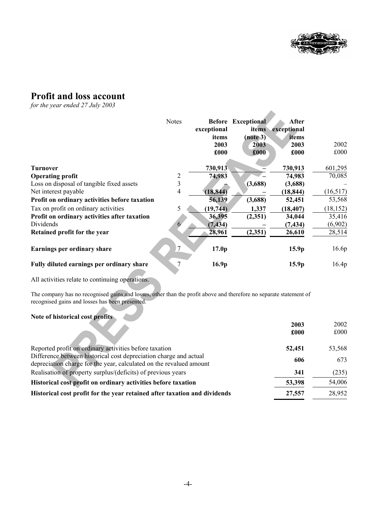

 $\blacktriangle$ 

## **Profit and loss account**

*for the year ended 27 July 2003* 

|                                               | <b>Notes</b>   | <b>Before</b><br>exceptional<br>items<br>2003<br>£000 | <b>Exceptional</b><br>items<br>$(note 3)$<br>2003<br>£000 | After<br>exceptional<br>items<br>2003<br>£000 | 2002<br>£000 |
|-----------------------------------------------|----------------|-------------------------------------------------------|-----------------------------------------------------------|-----------------------------------------------|--------------|
| <b>Turnover</b>                               |                | 730,913                                               |                                                           | 730,913                                       | 601,295      |
| <b>Operating profit</b>                       | $\overline{2}$ | 74,983                                                |                                                           | 74,983                                        | 70,085       |
| Loss on disposal of tangible fixed assets     | 3              |                                                       | (3,688)                                                   | (3,688)                                       |              |
| Net interest payable                          | 4              | (18, 844)                                             |                                                           | (18, 844)                                     | (16, 517)    |
| Profit on ordinary activities before taxation |                | 56,139                                                | (3,688)                                                   | 52,451                                        | 53,568       |
| Tax on profit on ordinary activities          | 5              | (19,744)                                              | 1,337                                                     | (18, 407)                                     | (18, 152)    |
| Profit on ordinary activities after taxation  |                | 36,395                                                | (2,351)                                                   | 34,044                                        | 35,416       |
| Dividends                                     | 6              | (7, 434)                                              |                                                           | (7, 434)                                      | (6,902)      |
| Retained profit for the year                  |                | 28,961                                                | (2,351)                                                   | 26,610                                        | 28,514       |
| Earnings per ordinary share                   | $\sqrt{7}$     | 17.0 <sub>p</sub>                                     |                                                           | 15.9p                                         | 16.6p        |
| Fully diluted earnings per ordinary share     | 7              | 16.9 <sub>p</sub>                                     |                                                           | 15.9 <sub>p</sub>                             | 16.4p        |
|                                               |                |                                                       |                                                           |                                               |              |

All activities relate to continuing operations.

The company has no recognised gains and losses, other than the profit above and therefore no separate statement of recognised gains and losses has been presented.

## **Note of historical cost profits**

|                                                                                                                                          | 2003   | 2002   |
|------------------------------------------------------------------------------------------------------------------------------------------|--------|--------|
|                                                                                                                                          | £000   | £000   |
| Reported profit on ordinary activities before taxation                                                                                   | 52,451 | 53,568 |
| Difference between historical cost depreciation charge and actual<br>depreciation charge for the year, calculated on the revalued amount | 606    | 673    |
| Realisation of property surplus/(deficits) of previous years                                                                             | 341    | (235)  |
| Historical cost profit on ordinary activities before taxation                                                                            | 53,398 | 54,006 |
| Historical cost profit for the year retained after taxation and dividends                                                                | 27,557 | 28,952 |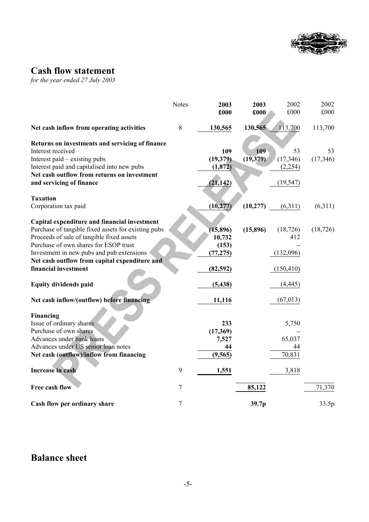

# **Cash flow statement**

*for the year ended 27 July 2003* 

|                                                                                            | <b>Notes</b>   | 2003      | 2003      | 2002       | 2002      |
|--------------------------------------------------------------------------------------------|----------------|-----------|-----------|------------|-----------|
|                                                                                            |                | £000      | £000      | £000       | £000      |
| Net cash inflow from operating activities                                                  | 8              | 130,565   | 130,565   | 113,700    | 113,700   |
| Returns on investments and servicing of finance                                            |                |           |           |            |           |
| Interest received                                                                          |                | 109       | 109       | 53         | 53        |
| Interest paid – existing pubs                                                              |                | (19,379)  | (19, 379) | (17, 346)  | (17, 346) |
| Interest paid and capitalised into new pubs                                                |                | (1, 872)  |           | (2,254)    |           |
| Net cash outflow from returns on investment                                                |                |           |           |            |           |
| and servicing of finance                                                                   |                | (21, 142) |           | (19, 547)  |           |
| <b>Taxation</b>                                                                            |                |           |           |            |           |
| Corporation tax paid                                                                       |                | (10, 277) | (10, 277) | (6,311)    | (6,311)   |
|                                                                                            |                |           |           |            |           |
| Capital expenditure and financial investment                                               |                |           |           |            |           |
| Purchase of tangible fixed assets for existing pubs                                        |                | (15, 896) | (15,896)  | (18, 726)  | (18, 726) |
| Proceeds of sale of tangible fixed assets                                                  |                | 10,732    |           | 412        |           |
| Purchase of own shares for ESOP trust                                                      |                | (153)     |           | (132,096)  |           |
| Investment in new pubs and pub extensions<br>Net cash outflow from capital expenditure and |                | (77, 275) |           |            |           |
| financial investment                                                                       |                | (82, 592) |           | (150, 410) |           |
|                                                                                            |                |           |           |            |           |
| <b>Equity dividends paid</b>                                                               |                | (5, 438)  |           | (4, 445)   |           |
|                                                                                            |                |           |           |            |           |
| Net cash inflow/(outflow) before financing                                                 |                | 11,116    |           | (67, 013)  |           |
| Financing                                                                                  |                |           |           |            |           |
| Issue of ordinary shares                                                                   |                | 233       |           | 5,750      |           |
| Purchase of own shares                                                                     |                | (17, 369) |           |            |           |
| Advances under bank loans                                                                  |                | 7,527     |           | 65,037     |           |
| Advances under US senior loan notes                                                        |                | 44        |           | 44         |           |
| Net cash (outflow)/inflow from financing                                                   |                | (9, 565)  |           | 70,831     |           |
| Increase in cash                                                                           | 9              | 1,551     |           | 3,818      |           |
|                                                                                            |                |           |           |            |           |
| Free cash flow                                                                             | $\overline{7}$ |           | 85,122    |            | 71,370    |
| Cash flow per ordinary share                                                               | 7              |           | 39.7p     |            | 33.5p     |

## **Balance sheet**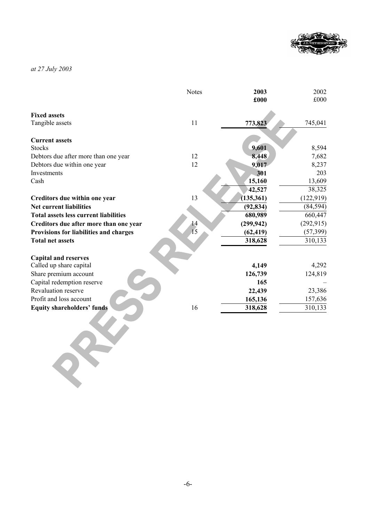

*at 27 July 2003*

|                                              | <b>Notes</b>  | 2003       | 2002       |
|----------------------------------------------|---------------|------------|------------|
|                                              |               | £000       | £000       |
| <b>Fixed assets</b>                          |               |            |            |
| Tangible assets                              | 11            | 773,823    | 745,041    |
|                                              |               |            |            |
| <b>Current assets</b>                        |               |            |            |
| <b>Stocks</b>                                |               | 9,601      | 8,594      |
| Debtors due after more than one year         | 12            | 8,448      | 7,682      |
| Debtors due within one year                  | 12            | 9,017      | 8,237      |
| Investments                                  |               | 301        | 203        |
| Cash                                         |               | 15,160     | 13,609     |
|                                              |               | 42,527     | 38,325     |
| Creditors due within one year                | 13            | (135, 361) | (122, 919) |
| <b>Net current liabilities</b>               |               | (92, 834)  | (84, 594)  |
| <b>Total assets less current liabilities</b> |               | 680,989    | 660,447    |
| Creditors due after more than one year       | 14            | (299, 942) | (292, 915) |
| Provisions for liabilities and charges       | $\frac{1}{5}$ | (62, 419)  | (57, 399)  |
| <b>Total net assets</b>                      |               | 318,628    | 310,133    |
|                                              |               |            |            |
| <b>Capital and reserves</b>                  |               |            |            |
| Called up share capital                      |               | 4,149      | 4,292      |
| Share premium account                        |               | 126,739    | 124,819    |
| Capital redemption reserve                   |               | 165        |            |
| Revaluation reserve                          |               | 22,439     | 23,386     |
| Profit and loss account                      |               | 165,136    | 157,636    |
| <b>Equity shareholders' funds</b>            | 16            | 318,628    | 310,133    |
|                                              |               |            |            |
|                                              |               |            |            |
|                                              |               |            |            |
|                                              |               |            |            |
|                                              |               |            |            |
|                                              |               |            |            |
|                                              |               |            |            |
|                                              |               |            |            |
|                                              |               |            |            |
|                                              |               |            |            |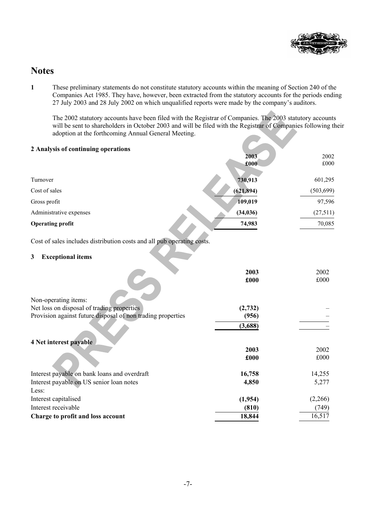

## **Notes**

**1** These preliminary statements do not constitute statutory accounts within the meaning of Section 240 of the Companies Act 1985. They have, however, been extracted from the statutory accounts for the periods ending 27 July 2003 and 28 July 2002 on which unqualified reports were made by the company's auditors.

The 2002 statutory accounts have been filed with the Registrar of Companies. The 2003 statutory accounts will be sent to shareholders in October 2003 and will be filed with the Registrar of Companies following their adoption at the forthcoming Annual General Meeting.

| 2 Analysis of continuing operations                                    |            |            |
|------------------------------------------------------------------------|------------|------------|
|                                                                        | 2003       | 2002       |
|                                                                        | £000       | £000       |
|                                                                        |            |            |
| Turnover                                                               | 730,913    | 601,295    |
| Cost of sales                                                          | (621, 894) | (503, 699) |
| Gross profit                                                           | 109,019    | 97,596     |
| Administrative expenses                                                | (34, 036)  | (27,511)   |
| <b>Operating profit</b>                                                | 74,983     | 70,085     |
| Cost of sales includes distribution costs and all pub operating costs. |            |            |
| <b>Exceptional items</b><br>3                                          |            |            |
|                                                                        |            |            |
|                                                                        | 2003       | 2002       |
|                                                                        | £000       | £000       |
| Non-operating items:                                                   |            |            |
| Net loss on disposal of trading properties                             | (2,732)    |            |
| Provision against future disposal of non trading properties            | (956)      |            |
|                                                                        | (3,688)    |            |
|                                                                        |            |            |
| 4 Net interest payable                                                 | 2003       | 2002       |
|                                                                        | £000       | £000       |
|                                                                        |            |            |
| Interest payable on bank loans and overdraft                           | 16,758     | 14,255     |
| Interest payable on US senior loan notes                               | 4,850      | 5,277      |
| Less:                                                                  |            |            |
| Interest capitalised                                                   | (1,954)    | (2,266)    |
| Interest receivable                                                    | (810)      | (749)      |
| Charge to profit and loss account                                      | 18,844     | 16,517     |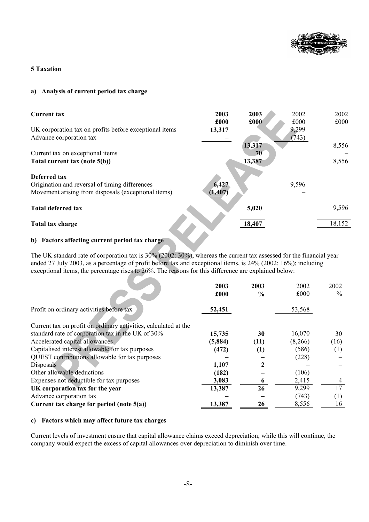

### **5 Taxation**

### **a) Analysis of current period tax charge**

| <b>Current tax</b>                                     | 2003<br>£000 | 2003<br>£000 | 2002<br>£000 | 2002<br>£000 |
|--------------------------------------------------------|--------------|--------------|--------------|--------------|
| UK corporation tax on profits before exceptional items | 13,317       |              | 9,299        |              |
| Advance corporation tax                                |              |              | (743)        |              |
|                                                        |              | 13,317       |              | 8,556        |
| Current tax on exceptional items                       |              | 70           |              |              |
| Total current tax (note 5(b))                          |              | 13,387       |              | 8,556        |
| Deferred tax                                           |              |              |              |              |
| Origination and reversal of timing differences         | 6,427        |              | 9,596        |              |
| Movement arising from disposals (exceptional items)    | (1, 407)     |              |              |              |
| <b>Total deferred tax</b>                              |              | 5,020        |              | 9,596        |
| Total tax charge                                       |              | 18,407       |              | 18,152       |
|                                                        |              |              |              |              |

## **b) Factors affecting current period tax charge**

The UK standard rate of corporation tax is 30% (2002: 30%), whereas the current tax assessed for the financial year ended 27 July 2003, as a percentage of profit before tax and exceptional items, is 24% (2002: 16%); including exceptional items, the percentage rises to 26%. The reasons for this difference are explained below:

|                                                                 | 2003    | 2003          | 2002    | 2002          |
|-----------------------------------------------------------------|---------|---------------|---------|---------------|
|                                                                 | £000    | $\frac{0}{0}$ | £000    | $\frac{0}{0}$ |
| Profit on ordinary activities before tax                        | 52,451  |               | 53,568  |               |
| Current tax on profit on ordinary activities, calculated at the |         |               |         |               |
| standard rate of corporation tax in the UK of 30%               | 15,735  | 30            | 16,070  | 30            |
| Accelerated capital allowances                                  | (5,884) | (11)          | (8,266) | (16)          |
| Capitalised interest allowable for tax purposes                 | (472)   | (1)           | (586)   | (1)           |
| QUEST contributions allowable for tax purposes                  |         |               | (228)   |               |
| <b>Disposals</b>                                                | 1,107   |               |         |               |
| Other allowable deductions                                      | (182)   |               | (106)   |               |
| Expenses not deductible for tax purposes                        | 3,083   |               | 2,415   | 4             |
| UK corporation tax for the year                                 | 13,387  | 26            | 9,299   | 17            |
| Advance corporation tax                                         |         |               | (743)   | (1)           |
| Current tax charge for period (note $5(a)$ )                    | 13,387  | 26            | 8,556   | 16            |

### **c) Factors which may affect future tax charges**

Current levels of investment ensure that capital allowance claims exceed depreciation; while this will continue, the company would expect the excess of capital allowances over depreciation to diminish over time.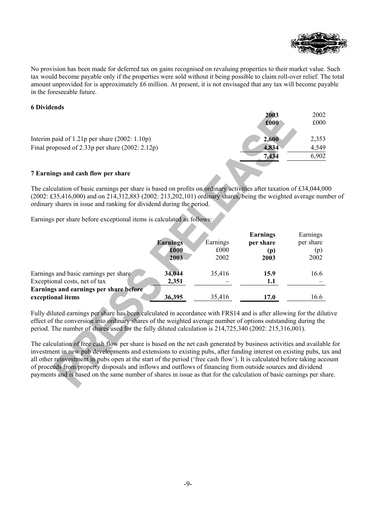

No provision has been made for deferred tax on gains recognised on revaluing properties to their market value. Such tax would become payable only if the properties were sold without it being possible to claim roll-over relief. The total amount unprovided for is approximately £6 million. At present, it is not envisaged that any tax will become payable in the foreseeable future.

### **6 Dividends**

|                                                     | 2003  | 2002  |
|-----------------------------------------------------|-------|-------|
|                                                     | £000  | £000  |
| Interim paid of $1.21p$ per share $(2002: 1.10p)$   | 2,600 | 2,353 |
| Final proposed of $2.33p$ per share $(2002: 2.12p)$ | 4,834 | 4,549 |
|                                                     | 7,434 | 6,902 |
| 7 Earnings and cash flow ner share                  |       |       |

### **7 Earnings and cash flow per share**

The calculation of basic earnings per share is based on profits on ordinary activities after taxation of £34,044,000 (2002: £35,416,000) and on 214,312,883 (2002: 213,202,101) ordinary shares, being the weighted average number of ordinary shares in issue and ranking for dividend during the period.

Earnings per share before exceptional items is calculated as follows:

|                                        |                 |          | <b>Earnings</b> | Earnings  |
|----------------------------------------|-----------------|----------|-----------------|-----------|
|                                        | <b>Earnings</b> | Earnings | per share       | per share |
|                                        | £000            | £000     | (p)             | (p)       |
|                                        | 2003            | 2002     | 2003            | 2002      |
|                                        |                 |          |                 |           |
| Earnings and basic earnings per share  | 34,044          | 35,416   | 15.9            | 16.6      |
| Exceptional costs, net of tax          | 2,351           |          | 1.1             |           |
| Earnings and earnings per share before |                 |          |                 |           |
| exceptional items                      | 36,395          | 35,416   | 17.0            | 16.6      |

Fully diluted earnings per share has been calculated in accordance with FRS14 and is after allowing for the dilutive effect of the conversion into ordinary shares of the weighted average number of options outstanding during the period. The number of shares used for the fully diluted calculation is 214,725,340 (2002: 215,316,001).

The calculation of free cash flow per share is based on the net cash generated by business activities and available for investment in new pub developments and extensions to existing pubs, after funding interest on existing pubs, tax and all other reinvestment in pubs open at the start of the period ('free cash flow'). It is calculated before taking account of proceeds from property disposals and inflows and outflows of financing from outside sources and dividend payments and is based on the same number of shares in issue as that for the calculation of basic earnings per share.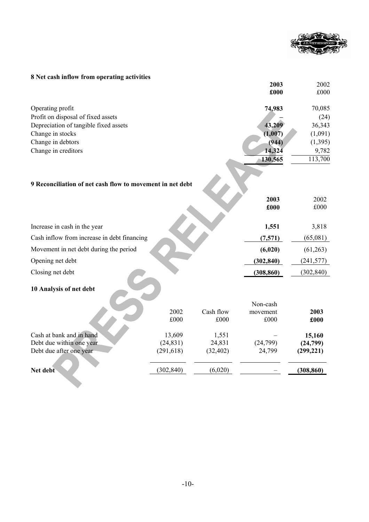

## **8 Net cash inflow from operating activities**

|                                                           |            |           | 2003<br>£000 | 2002<br>£000 |
|-----------------------------------------------------------|------------|-----------|--------------|--------------|
| Operating profit                                          |            |           | 74,983       | 70,085       |
| Profit on disposal of fixed assets                        |            |           |              | (24)         |
| Depreciation of tangible fixed assets                     |            |           | 43,209       | 36,343       |
| Change in stocks                                          |            |           | (1,007)      | (1,091)      |
| Change in debtors                                         |            |           | (944)        | (1, 395)     |
| Change in creditors                                       |            |           | 14,324       | 9,782        |
|                                                           |            |           | 130,565      | 113,700      |
| 9 Reconciliation of net cash flow to movement in net debt |            |           | 2003<br>£000 | 2002<br>£000 |
| Increase in cash in the year                              |            |           | 1,551        | 3,818        |
| Cash inflow from increase in debt financing               |            |           | (7,571)      | (65,081)     |
| Movement in net debt during the period                    |            |           | (6,020)      | (61,263)     |
| Opening net debt                                          |            |           | (302, 840)   | (241, 577)   |
| Closing net debt                                          |            |           | (308, 860)   | (302, 840)   |
| 10 Analysis of net debt                                   |            |           |              |              |
|                                                           |            |           | Non-cash     |              |
|                                                           | 2002       | Cash flow | movement     | 2003         |
|                                                           | £000       | £000      | £000         | £000         |
| Cash at bank and in hand                                  | 13,609     | 1,551     |              | 15,160       |
| Debt due within one year                                  | (24, 831)  | 24,831    | (24,799)     | (24,799)     |
| Debt due after one year                                   | (291, 618) | (32, 402) | 24,799       | (299, 221)   |
| Net debt                                                  | (302, 840) | (6,020)   |              | (308, 860)   |
|                                                           |            |           |              |              |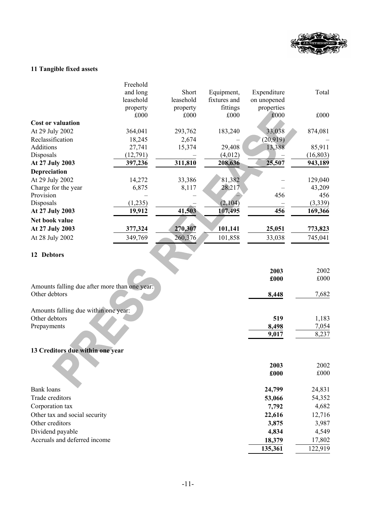

## **11 Tangible fixed assets**

|                                               | Freehold  |           |              |             |           |
|-----------------------------------------------|-----------|-----------|--------------|-------------|-----------|
|                                               | and long  | Short     | Equipment,   | Expenditure | Total     |
|                                               | leasehold | leasehold | fixtures and | on unopened |           |
|                                               | property  | property  | fittings     | properties  |           |
|                                               | £000      | £000      | £000         | £000        | £000      |
| <b>Cost or valuation</b>                      |           |           |              |             |           |
| At 29 July 2002                               | 364,041   | 293,762   | 183,240      | 33,038      | 874,081   |
| Reclassification                              | 18,245    | 2,674     |              | (20, 919)   |           |
| Additions                                     | 27,741    | 15,374    | 29,408       | 13,388      | 85,911    |
| Disposals                                     | (12, 791) |           | (4,012)      |             | (16, 803) |
| At 27 July 2003                               | 397,236   | 311,810   | 208,636      | 25,507      | 943,189   |
| Depreciation                                  |           |           |              |             |           |
| At 29 July 2002                               | 14,272    | 33,386    | 81,382       |             | 129,040   |
| Charge for the year                           | 6,875     | 8,117     | 28,217       |             | 43,209    |
| Provision                                     |           |           |              | 456         | 456       |
| Disposals                                     | (1,235)   |           | (2,104)      |             | (3,339)   |
| At 27 July 2003                               | 19,912    | 41,503    | 107,495      | 456         | 169,366   |
| Net book value                                |           |           |              |             |           |
| At 27 July 2003                               | 377,324   | 270,307   | 101,141      | 25,051      | 773,823   |
| At 28 July 2002                               | 349,769   | 260,376   | 101,858      | 33,038      | 745,041   |
|                                               |           |           |              |             |           |
| 12 Debtors                                    |           |           |              |             |           |
|                                               |           |           |              | 2003        | 2002      |
|                                               |           |           |              | £000        | £000      |
| Amounts falling due after more than one year: |           |           |              |             |           |
| Other debtors                                 |           |           |              | 8,448       | 7,682     |
|                                               |           |           |              |             |           |
| Amounts falling due within one year:          |           |           |              |             |           |
| Other debtors                                 |           |           |              | 519         | 1,183     |
| Prepayments                                   |           |           |              | 8,498       | 7,054     |
|                                               |           |           |              | 9,017       | 8,237     |
|                                               |           |           |              |             |           |
| 13 Creditors due within one year              |           |           |              |             |           |
|                                               |           |           |              | 2003        | 2002      |
|                                               |           |           |              | £000        | £000      |
|                                               |           |           |              |             |           |
| <b>Bank</b> loans                             |           |           |              | 24,799      | 24,831    |
| Trade creditors                               |           |           |              | 53,066      | 54,352    |
| Corporation tax                               |           |           |              | 7,792       | 4,682     |
| Other tax and social security                 |           |           |              | 22,616      | 12,716    |
|                                               |           |           |              | 2077        | 2.027     |

| Other tax and social security | <b><i>22.010</i></b> | 12, 10  |
|-------------------------------|----------------------|---------|
| Other creditors               | 3.875                | 3,987   |
| Dividend payable              | 4.834                | 4,549   |
| Accruals and deferred income  | 18.379               | 17,802  |
|                               | 135,361              | 122,919 |